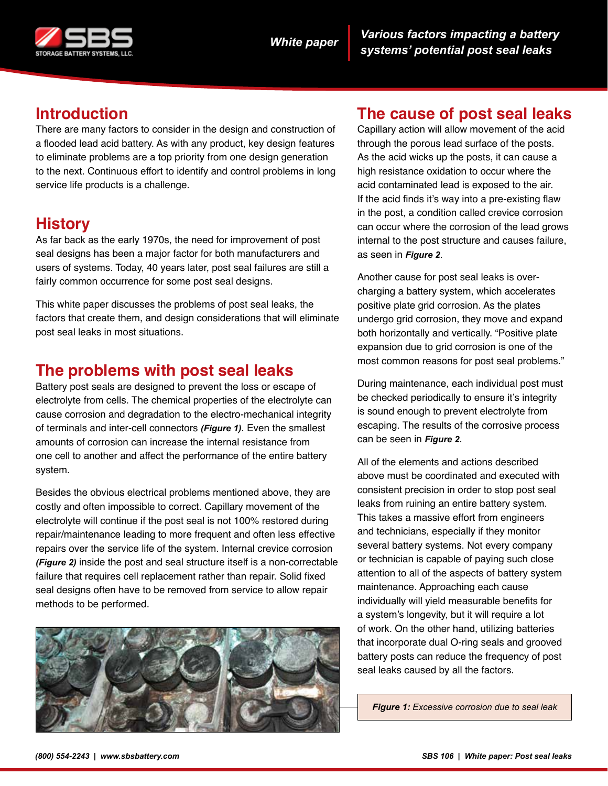

# **Introduction**

There are many factors to consider in the design and construction of a flooded lead acid battery. As with any product, key design features to eliminate problems are a top priority from one design generation to the next. Continuous effort to identify and control problems in long service life products is a challenge.

## **History**

As far back as the early 1970s, the need for improvement of post seal designs has been a major factor for both manufacturers and users of systems. Today, 40 years later, post seal failures are still a fairly common occurrence for some post seal designs.

This white paper discusses the problems of post seal leaks, the factors that create them, and design considerations that will eliminate post seal leaks in most situations.

### **The problems with post seal leaks**

Battery post seals are designed to prevent the loss or escape of electrolyte from cells. The chemical properties of the electrolyte can cause corrosion and degradation to the electro-mechanical integrity of terminals and inter-cell connectors *(Figure 1)*. Even the smallest amounts of corrosion can increase the internal resistance from one cell to another and affect the performance of the entire battery system.

Besides the obvious electrical problems mentioned above, they are costly and often impossible to correct. Capillary movement of the electrolyte will continue if the post seal is not 100% restored during repair/maintenance leading to more frequent and often less effective repairs over the service life of the system. Internal crevice corrosion *(Figure 2)* inside the post and seal structure itself is a non-correctable failure that requires cell replacement rather than repair. Solid fixed seal designs often have to be removed from service to allow repair methods to be performed.



### **The cause of post seal leaks**

Capillary action will allow movement of the acid through the porous lead surface of the posts. As the acid wicks up the posts, it can cause a high resistance oxidation to occur where the acid contaminated lead is exposed to the air. If the acid finds it's way into a pre-existing flaw in the post, a condition called crevice corrosion can occur where the corrosion of the lead grows internal to the post structure and causes failure, as seen in *Figure 2*.

Another cause for post seal leaks is overcharging a battery system, which accelerates positive plate grid corrosion. As the plates undergo grid corrosion, they move and expand both horizontally and vertically. "Positive plate expansion due to grid corrosion is one of the most common reasons for post seal problems."

During maintenance, each individual post must be checked periodically to ensure it's integrity is sound enough to prevent electrolyte from escaping. The results of the corrosive process can be seen in *Figure 2*.

All of the elements and actions described above must be coordinated and executed with consistent precision in order to stop post seal leaks from ruining an entire battery system. This takes a massive effort from engineers and technicians, especially if they monitor several battery systems. Not every company or technician is capable of paying such close attention to all of the aspects of battery system maintenance. Approaching each cause individually will yield measurable benefits for a system's longevity, but it will require a lot of work. On the other hand, utilizing batteries that incorporate dual O-ring seals and grooved battery posts can reduce the frequency of post seal leaks caused by all the factors.

*Figure 1: Excessive corrosion due to seal leak*